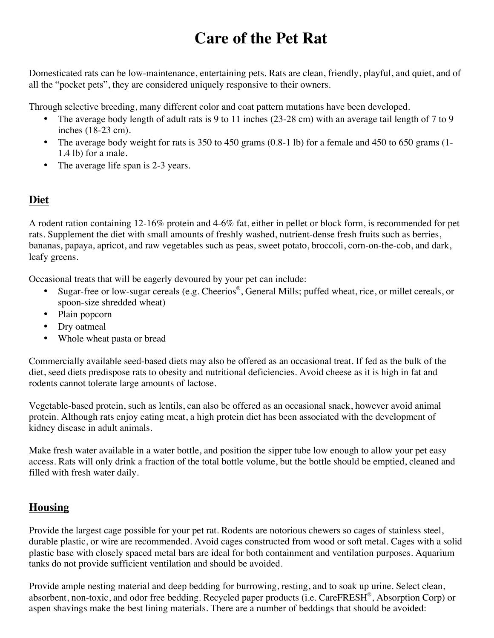## **Care of the Pet Rat**

Domesticated rats can be low-maintenance, entertaining pets. Rats are clean, friendly, playful, and quiet, and of all the "pocket pets", they are considered uniquely responsive to their owners.

Through selective breeding, many different color and coat pattern mutations have been developed.

- The average body length of adult rats is 9 to 11 inches (23-28 cm) with an average tail length of 7 to 9 inches (18-23 cm).
- The average body weight for rats is 350 to 450 grams  $(0.8-1 1b)$  for a female and 450 to 650 grams  $(1 1)$ 1.4 lb) for a male.
- The average life span is 2-3 years.

## **Diet**

A rodent ration containing 12-16% protein and 4-6% fat, either in pellet or block form, is recommended for pet rats. Supplement the diet with small amounts of freshly washed, nutrient-dense fresh fruits such as berries, bananas, papaya, apricot, and raw vegetables such as peas, sweet potato, broccoli, corn-on-the-cob, and dark, leafy greens.

Occasional treats that will be eagerly devoured by your pet can include:

- Sugar-free or low-sugar cereals (e.g. Cheerios®, General Mills; puffed wheat, rice, or millet cereals, or spoon-size shredded wheat)
- Plain popcorn
- Dry oatmeal
- Whole wheat pasta or bread

Commercially available seed-based diets may also be offered as an occasional treat. If fed as the bulk of the diet, seed diets predispose rats to obesity and nutritional deficiencies. Avoid cheese as it is high in fat and rodents cannot tolerate large amounts of lactose.

Vegetable-based protein, such as lentils, can also be offered as an occasional snack, however avoid animal protein. Although rats enjoy eating meat, a high protein diet has been associated with the development of kidney disease in adult animals.

Make fresh water available in a water bottle, and position the sipper tube low enough to allow your pet easy access. Rats will only drink a fraction of the total bottle volume, but the bottle should be emptied, cleaned and filled with fresh water daily.

## **Housing**

Provide the largest cage possible for your pet rat. Rodents are notorious chewers so cages of stainless steel, durable plastic, or wire are recommended. Avoid cages constructed from wood or soft metal. Cages with a solid plastic base with closely spaced metal bars are ideal for both containment and ventilation purposes. Aquarium tanks do not provide sufficient ventilation and should be avoided.

Provide ample nesting material and deep bedding for burrowing, resting, and to soak up urine. Select clean, absorbent, non-toxic, and odor free bedding. Recycled paper products (i.e. CareFRESH®, Absorption Corp) or aspen shavings make the best lining materials. There are a number of beddings that should be avoided: